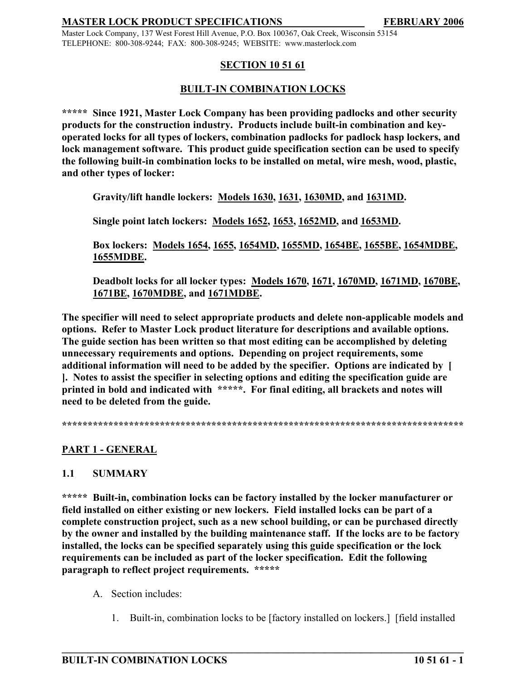Master Lock Company, 137 West Forest Hill Avenue, P.O. Box 100367, Oak Creek, Wisconsin 53154 TELEPHONE: 800-308-9244; FAX: 800-308-9245; WEBSITE: www.masterlock.com

## **SECTION 10 51 61**

## **BUILT-IN COMBINATION LOCKS**

**\*\*\*\*\* Since 1921, Master Lock Company has been providing padlocks and other security products for the construction industry. Products include built-in combination and keyoperated locks for all types of lockers, combination padlocks for padlock hasp lockers, and lock management software. This product guide specification section can be used to specify the following built-in combination locks to be installed on metal, wire mesh, wood, plastic, and other types of locker:**

**Gravity/lift handle lockers: Models 1630, 1631, 1630MD, and 1631MD.**

**Single point latch lockers: Models 1652, 1653, 1652MD, and 1653MD.**

**Box lockers: Models 1654, 1655, 1654MD, 1655MD, 1654BE, 1655BE, 1654MDBE, 1655MDBE.**

**Deadbolt locks for all locker types: Models 1670, 1671, 1670MD, 1671MD, 1670BE, 1671BE, 1670MDBE, and 1671MDBE.**

**The specifier will need to select appropriate products and delete non-applicable models and options. Refer to Master Lock product literature for descriptions and available options. The guide section has been written so that most editing can be accomplished by deleting unnecessary requirements and options. Depending on project requirements, some additional information will need to be added by the specifier. Options are indicated by [ ]. Notes to assist the specifier in selecting options and editing the specification guide are printed in bold and indicated with \*\*\*\*\*. For final editing, all brackets and notes will need to be deleted from the guide.** 

**\*\*\*\*\*\*\*\*\*\*\*\*\*\*\*\*\*\*\*\*\*\*\*\*\*\*\*\*\*\*\*\*\*\*\*\*\*\*\*\*\*\*\*\*\*\*\*\*\*\*\*\*\*\*\*\*\*\*\*\*\*\*\*\*\*\*\*\*\*\*\*\*\*\*\*\*\*\***

# **PART 1 - GENERAL**

#### **1.1 SUMMARY**

**\*\*\*\*\* Built-in, combination locks can be factory installed by the locker manufacturer or field installed on either existing or new lockers. Field installed locks can be part of a complete construction project, such as a new school building, or can be purchased directly by the owner and installed by the building maintenance staff. If the locks are to be factory installed, the locks can be specified separately using this guide specification or the lock requirements can be included as part of the locker specification. Edit the following paragraph to reflect project requirements. \*\*\*\*\***

- A. Section includes:
	- 1. Built-in, combination locks to be [factory installed on lockers.] [field installed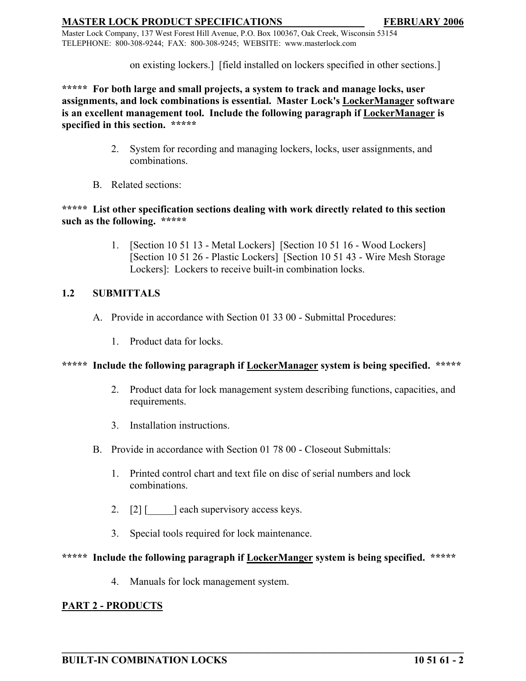Master Lock Company, 137 West Forest Hill Avenue, P.O. Box 100367, Oak Creek, Wisconsin 53154 TELEPHONE: 800-308-9244; FAX: 800-308-9245; WEBSITE: www.masterlock.com

on existing lockers.] [field installed on lockers specified in other sections.]

**\*\*\*\*\* For both large and small projects, a system to track and manage locks, user assignments, and lock combinations is essential. Master Lock's LockerManager software is an excellent management tool. Include the following paragraph if LockerManager is specified in this section. \*\*\*\*\***

- 2. System for recording and managing lockers, locks, user assignments, and combinations.
- B. Related sections:

## **\*\*\*\*\* List other specification sections dealing with work directly related to this section such as the following. \*\*\*\*\***

1. [Section 10 51 13 - Metal Lockers] [Section 10 51 16 - Wood Lockers] [Section 10 51 26 - Plastic Lockers] [Section 10 51 43 - Wire Mesh Storage Lockers]: Lockers to receive built-in combination locks.

# **1.2 SUBMITTALS**

- A. Provide in accordance with Section 01 33 00 Submittal Procedures:
	- 1. Product data for locks.

# **\*\*\*\*\* Include the following paragraph if LockerManager system is being specified. \*\*\*\*\***

- 2. Product data for lock management system describing functions, capacities, and requirements.
- 3. Installation instructions.
- B. Provide in accordance with Section 01 78 00 Closeout Submittals:
	- 1. Printed control chart and text file on disc of serial numbers and lock combinations.
	- 2. [2] [  $\Box$  ] each supervisory access keys.
	- 3. Special tools required for lock maintenance.

# **\*\*\*\*\* Include the following paragraph if LockerManger system is being specified. \*\*\*\*\***

**\_\_\_\_\_\_\_\_\_\_\_\_\_\_\_\_\_\_\_\_\_\_\_\_\_\_\_\_\_\_\_\_\_\_\_\_\_\_\_\_\_\_\_\_\_\_\_\_\_\_\_\_\_\_\_\_\_\_\_\_\_\_\_\_\_\_\_\_\_\_\_\_\_\_\_\_\_\_**

4. Manuals for lock management system.

# **PART 2 - PRODUCTS**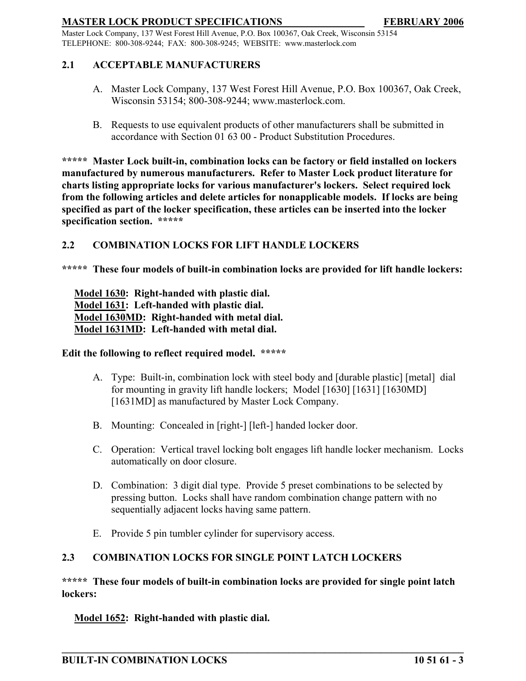Master Lock Company, 137 West Forest Hill Avenue, P.O. Box 100367, Oak Creek, Wisconsin 53154 TELEPHONE: 800-308-9244; FAX: 800-308-9245; WEBSITE: www.masterlock.com

## **2.1 ACCEPTABLE MANUFACTURERS**

- A. Master Lock Company, 137 West Forest Hill Avenue, P.O. Box 100367, Oak Creek, Wisconsin 53154; 800-308-9244; www.masterlock.com.
- B. Requests to use equivalent products of other manufacturers shall be submitted in accordance with Section 01 63 00 - Product Substitution Procedures.

**\*\*\*\*\* Master Lock built-in, combination locks can be factory or field installed on lockers manufactured by numerous manufacturers. Refer to Master Lock product literature for charts listing appropriate locks for various manufacturer's lockers. Select required lock from the following articles and delete articles for nonapplicable models. If locks are being specified as part of the locker specification, these articles can be inserted into the locker specification section. \*\*\*\*\***

#### **2.2 COMBINATION LOCKS FOR LIFT HANDLE LOCKERS**

**\*\*\*\*\* These four models of built-in combination locks are provided for lift handle lockers:**

**Model 1630: Right-handed with plastic dial. Model 1631: Left-handed with plastic dial. Model 1630MD: Right-handed with metal dial. Model 1631MD: Left-handed with metal dial.**

#### **Edit the following to reflect required model. \*\*\*\*\***

- A. Type: Built-in, combination lock with steel body and [durable plastic] [metal] dial for mounting in gravity lift handle lockers; Model [1630] [1631] [1630MD] [1631MD] as manufactured by Master Lock Company.
- B. Mounting: Concealed in [right-] [left-] handed locker door.
- C. Operation: Vertical travel locking bolt engages lift handle locker mechanism. Locks automatically on door closure.
- D. Combination: 3 digit dial type. Provide 5 preset combinations to be selected by pressing button. Locks shall have random combination change pattern with no sequentially adjacent locks having same pattern.
- E. Provide 5 pin tumbler cylinder for supervisory access.

# **2.3 COMBINATION LOCKS FOR SINGLE POINT LATCH LOCKERS**

**\*\*\*\*\* These four models of built-in combination locks are provided for single point latch lockers:**

**\_\_\_\_\_\_\_\_\_\_\_\_\_\_\_\_\_\_\_\_\_\_\_\_\_\_\_\_\_\_\_\_\_\_\_\_\_\_\_\_\_\_\_\_\_\_\_\_\_\_\_\_\_\_\_\_\_\_\_\_\_\_\_\_\_\_\_\_\_\_\_\_\_\_\_\_\_\_**

**Model 1652: Right-handed with plastic dial.**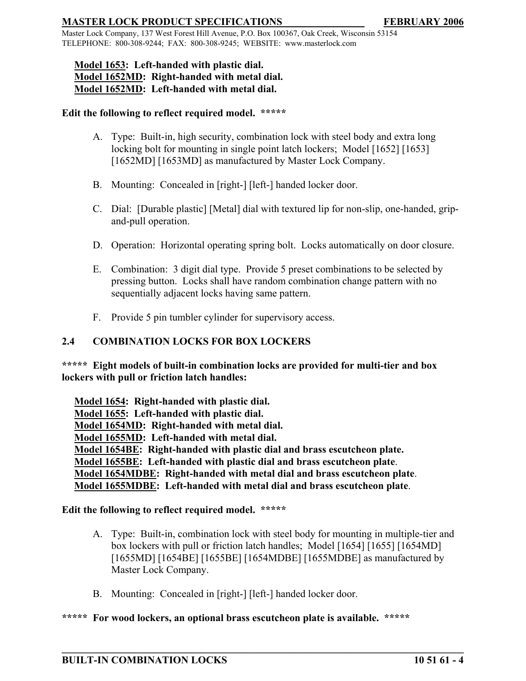Master Lock Company, 137 West Forest Hill Avenue, P.O. Box 100367, Oak Creek, Wisconsin 53154 TELEPHONE: 800-308-9244; FAX: 800-308-9245; WEBSITE: www.masterlock.com

# **Model 1653: Left-handed with plastic dial. Model 1652MD: Right-handed with metal dial. Model 1652MD: Left-handed with metal dial.**

### **Edit the following to reflect required model. \*\*\*\*\***

- A. Type: Built-in, high security, combination lock with steel body and extra long locking bolt for mounting in single point latch lockers; Model [1652] [1653] [1652MD] [1653MD] as manufactured by Master Lock Company.
- B. Mounting: Concealed in [right-] [left-] handed locker door.
- C. Dial: [Durable plastic] [Metal] dial with textured lip for non-slip, one-handed, gripand-pull operation.
- D. Operation: Horizontal operating spring bolt. Locks automatically on door closure.
- E. Combination: 3 digit dial type. Provide 5 preset combinations to be selected by pressing button. Locks shall have random combination change pattern with no sequentially adjacent locks having same pattern.
- F. Provide 5 pin tumbler cylinder for supervisory access.

## **2.4 COMBINATION LOCKS FOR BOX LOCKERS**

**\*\*\*\*\* Eight models of built-in combination locks are provided for multi-tier and box lockers with pull or friction latch handles:**

**Model 1654: Right-handed with plastic dial. Model 1655: Left-handed with plastic dial. Model 1654MD: Right-handed with metal dial. Model 1655MD: Left-handed with metal dial. Model 1654BE: Right-handed with plastic dial and brass escutcheon plate. Model 1655BE: Left-handed with plastic dial and brass escutcheon plate**. **Model 1654MDBE: Right-handed with metal dial and brass escutcheon plate**. **Model 1655MDBE: Left-handed with metal dial and brass escutcheon plate**.

#### **Edit the following to reflect required model. \*\*\*\*\***

A. Type: Built-in, combination lock with steel body for mounting in multiple-tier and box lockers with pull or friction latch handles; Model [1654] [1655] [1654MD] [1655MD] [1654BE] [1655BE] [1654MDBE] [1655MDBE] as manufactured by Master Lock Company.

**\_\_\_\_\_\_\_\_\_\_\_\_\_\_\_\_\_\_\_\_\_\_\_\_\_\_\_\_\_\_\_\_\_\_\_\_\_\_\_\_\_\_\_\_\_\_\_\_\_\_\_\_\_\_\_\_\_\_\_\_\_\_\_\_\_\_\_\_\_\_\_\_\_\_\_\_\_\_**

B. Mounting: Concealed in [right-] [left-] handed locker door.

#### **\*\*\*\*\* For wood lockers, an optional brass escutcheon plate is available. \*\*\*\*\***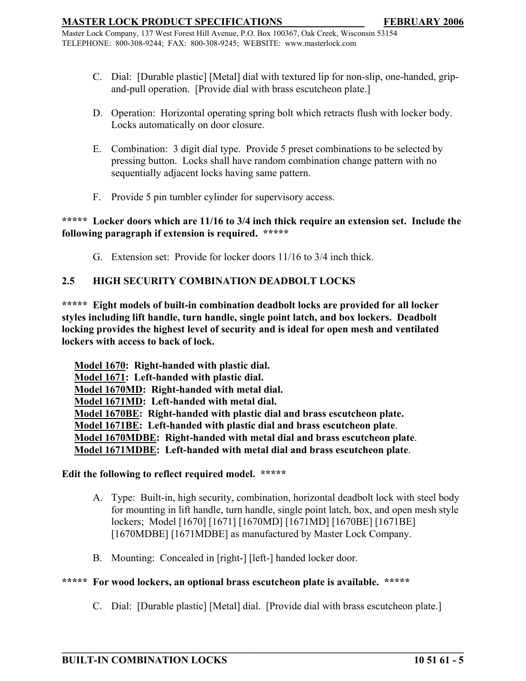Master Lock Company, 137 West Forest Hill Avenue, P.O. Box 100367, Oak Creek, Wisconsin 53154 TELEPHONE: 800-308-9244; FAX: 800-308-9245; WEBSITE: www.masterlock.com

- C. Dial: [Durable plastic] [Metal] dial with textured lip for non-slip, one-handed, gripand-pull operation. [Provide dial with brass escutcheon plate.]
- D. Operation: Horizontal operating spring bolt which retracts flush with locker body. Locks automatically on door closure.
- E. Combination: 3 digit dial type. Provide 5 preset combinations to be selected by pressing button. Locks shall have random combination change pattern with no sequentially adjacent locks having same pattern.
- F. Provide 5 pin tumbler cylinder for supervisory access.

**\*\*\*\*\* Locker doors which are 11/16 to 3/4 inch thick require an extension set. Include the following paragraph if extension is required. \*\*\*\*\***

G. Extension set: Provide for locker doors 11/16 to 3/4 inch thick.

# **2.5 HIGH SECURITY COMBINATION DEADBOLT LOCKS**

**\*\*\*\*\* Eight models of built-in combination deadbolt locks are provided for all locker styles including lift handle, turn handle, single point latch, and box lockers. Deadbolt locking provides the highest level of security and is ideal for open mesh and ventilated lockers with access to back of lock.**

**Model 1670: Right-handed with plastic dial. Model 1671: Left-handed with plastic dial. Model 1670MD: Right-handed with metal dial. Model 1671MD: Left-handed with metal dial. Model 1670BE: Right-handed with plastic dial and brass escutcheon plate. Model 1671BE: Left-handed with plastic dial and brass escutcheon plate**. **Model 1670MDBE: Right-handed with metal dial and brass escutcheon plate**. **Model 1671MDBE: Left-handed with metal dial and brass escutcheon plate**.

#### **Edit the following to reflect required model. \*\*\*\*\***

- A. Type: Built-in, high security, combination, horizontal deadbolt lock with steel body for mounting in lift handle, turn handle, single point latch, box, and open mesh style lockers; Model [1670] [1671] [1670MD] [1671MD] [1670BE] [1671BE] [1670MDBE] [1671MDBE] as manufactured by Master Lock Company.
- B. Mounting: Concealed in [right-] [left-] handed locker door.

#### **\*\*\*\*\* For wood lockers, an optional brass escutcheon plate is available. \*\*\*\*\***

C. Dial: [Durable plastic] [Metal] dial. [Provide dial with brass escutcheon plate.]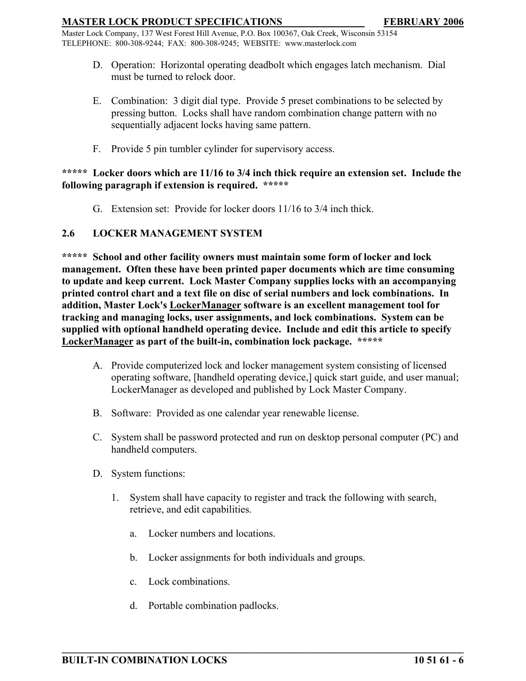Master Lock Company, 137 West Forest Hill Avenue, P.O. Box 100367, Oak Creek, Wisconsin 53154 TELEPHONE: 800-308-9244; FAX: 800-308-9245; WEBSITE: www.masterlock.com

- D. Operation: Horizontal operating deadbolt which engages latch mechanism. Dial must be turned to relock door.
- E. Combination: 3 digit dial type. Provide 5 preset combinations to be selected by pressing button. Locks shall have random combination change pattern with no sequentially adjacent locks having same pattern.
- F. Provide 5 pin tumbler cylinder for supervisory access.

#### **\*\*\*\*\* Locker doors which are 11/16 to 3/4 inch thick require an extension set. Include the following paragraph if extension is required. \*\*\*\*\***

G. Extension set: Provide for locker doors 11/16 to 3/4 inch thick.

## **2.6 LOCKER MANAGEMENT SYSTEM**

**\*\*\*\*\* School and other facility owners must maintain some form of locker and lock management. Often these have been printed paper documents which are time consuming to update and keep current. Lock Master Company supplies locks with an accompanying printed control chart and a text file on disc of serial numbers and lock combinations. In addition, Master Lock's LockerManager software is an excellent management tool for tracking and managing locks, user assignments, and lock combinations. System can be supplied with optional handheld operating device. Include and edit this article to specify LockerManager as part of the built-in, combination lock package. \*\*\*\*\*** 

- A. Provide computerized lock and locker management system consisting of licensed operating software, [handheld operating device,] quick start guide, and user manual; LockerManager as developed and published by Lock Master Company.
- B. Software: Provided as one calendar year renewable license.
- C. System shall be password protected and run on desktop personal computer (PC) and handheld computers.
- D. System functions:
	- 1. System shall have capacity to register and track the following with search, retrieve, and edit capabilities.
		- a. Locker numbers and locations.
		- b. Locker assignments for both individuals and groups.

- c. Lock combinations.
- d. Portable combination padlocks.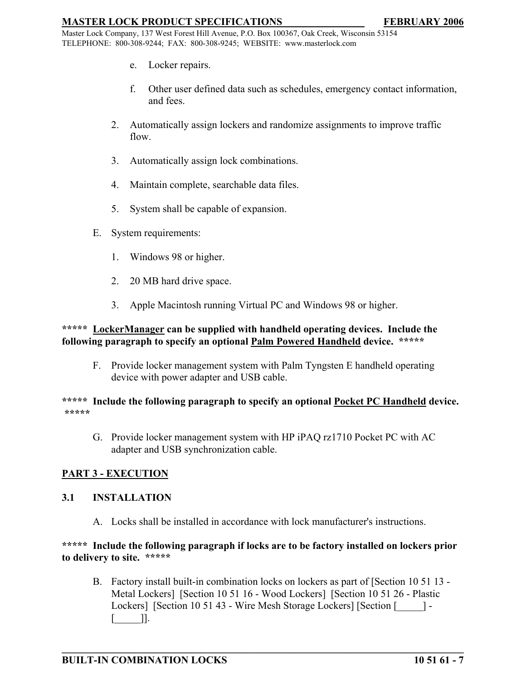Master Lock Company, 137 West Forest Hill Avenue, P.O. Box 100367, Oak Creek, Wisconsin 53154 TELEPHONE: 800-308-9244; FAX: 800-308-9245; WEBSITE: www.masterlock.com

- e. Locker repairs.
- f. Other user defined data such as schedules, emergency contact information, and fees.
- 2. Automatically assign lockers and randomize assignments to improve traffic flow.
- 3. Automatically assign lock combinations.
- 4. Maintain complete, searchable data files.
- 5. System shall be capable of expansion.
- E. System requirements:
	- 1. Windows 98 or higher.
	- 2. 20 MB hard drive space.
	- 3. Apple Macintosh running Virtual PC and Windows 98 or higher.

## **\*\*\*\*\* LockerManager can be supplied with handheld operating devices. Include the following paragraph to specify an optional Palm Powered Handheld device. \*\*\*\*\***

F. Provide locker management system with Palm Tyngsten E handheld operating device with power adapter and USB cable.

#### **\*\*\*\*\* Include the following paragraph to specify an optional Pocket PC Handheld device. \*\*\*\*\***

G. Provide locker management system with HP iPAQ rz1710 Pocket PC with AC adapter and USB synchronization cable.

# **PART 3 - EXECUTION**

#### **3.1 INSTALLATION**

A. Locks shall be installed in accordance with lock manufacturer's instructions.

## **\*\*\*\*\* Include the following paragraph if locks are to be factory installed on lockers prior to delivery to site. \*\*\*\*\***

B. Factory install built-in combination locks on lockers as part of [Section 10 51 13 - Metal Lockers] [Section 10 51 16 - Wood Lockers] [Section 10 51 26 - Plastic Lockers] [Section 10 51 43 - Wire Mesh Storage Lockers] [Section [2014] - $\Box$